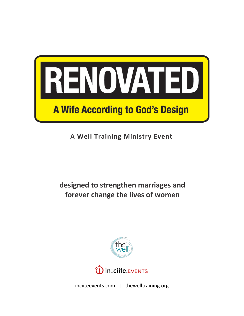

**A Well Training Ministry Event**

**designed to strengthen marriages and forever change the lives of women**



inciiteevents.com | thewelltraining.org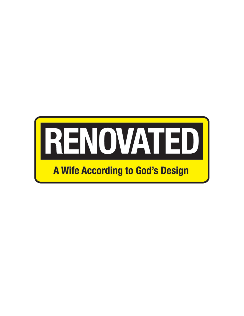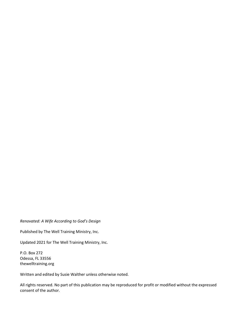### *Renovated: A Wife According to God's Design*

Published by The Well Training Ministry, Inc.

Updated 2021 for The Well Training Ministry, Inc.

P.O. Box 272 Odessa, FL 33556 thewelltraining.org

Written and edited by Susie Walther unless otherwise noted.

All rights reserved. No part of this publication may be reproduced for profit or modified without the expressed consent of the author.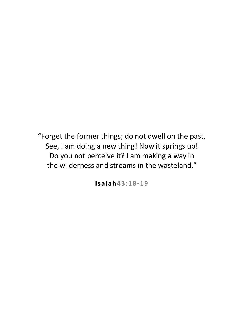"Forget the former things; do not dwell on the past. See, I am doing a new thing! Now it springs up! Do you not perceive it? I am making a way in the wilderness and streams in the wasteland."

**Isaiah43:18-19**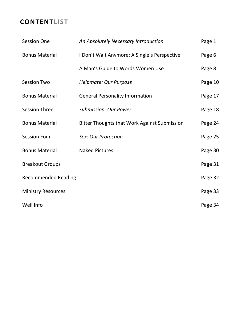# **CONTENTLIST**

| <b>Session One</b>         | An Absolutely Necessary Introduction                | Page 1  |
|----------------------------|-----------------------------------------------------|---------|
| <b>Bonus Material</b>      | I Don't Wait Anymore: A Single's Perspective        | Page 6  |
|                            | A Man's Guide to Words Women Use                    | Page 8  |
| <b>Session Two</b>         | Helpmate: Our Purpose                               | Page 10 |
| <b>Bonus Material</b>      | <b>General Personality Information</b>              | Page 17 |
| <b>Session Three</b>       | <b>Submission: Our Power</b>                        | Page 18 |
| <b>Bonus Material</b>      | <b>Bitter Thoughts that Work Against Submission</b> | Page 24 |
| <b>Session Four</b>        | Sex: Our Protection                                 | Page 25 |
| <b>Bonus Material</b>      | <b>Naked Pictures</b>                               | Page 30 |
| <b>Breakout Groups</b>     |                                                     | Page 31 |
| <b>Recommended Reading</b> |                                                     | Page 32 |
| <b>Ministry Resources</b>  |                                                     | Page 33 |
| Well Info                  |                                                     | Page 34 |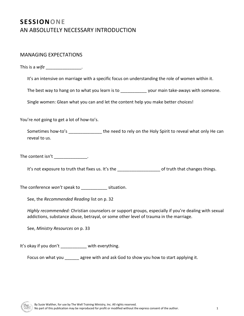# **SESSIONONE** AN ABSOLUTELY NECESSARY INTRODUCTION

## MANAGING EXPECTATIONS

This is a *wife* the set of the set of the set of the set of the set of the set of the set of the set of the set of the set of the set of the set of the set of the set of the set of the set of the set of the set of the set

It's an intensive on marriage with a specific focus on understanding the role of women within it.

The best way to hang on to what you learn is to \_\_\_\_\_\_\_\_\_\_\_\_\_ your main take-aways with someone.

Single women: Glean what you can and let the content help you make better choices!

You're *not* going to get a lot of how-to's.

Sometimes how-to's \_\_\_\_\_\_\_\_\_\_\_\_\_\_\_\_\_ the need to rely on the Holy Spirit to reveal what only He can reveal to us.

The content isn't  $\frac{1}{2}$  \_\_\_\_\_\_\_\_\_\_\_\_\_\_\_.

It's not exposure to truth that fixes us. It's the discussed to truth that changes things.

The conference *won't* speak to \_\_\_\_\_\_\_\_\_\_\_ situation.

See, the *Recommended Reading* list on p. 32

*Highly recommended:* Christian counselors or support groups, especially if you're dealing with sexual addictions, substance abuse, betrayal, or some other level of trauma in the marriage.

See, *Ministry Resources* on p. 33

It's okay if you don't with everything.

Focus on what you \_\_\_\_\_\_ agree with and ask God to show you how to start applying it.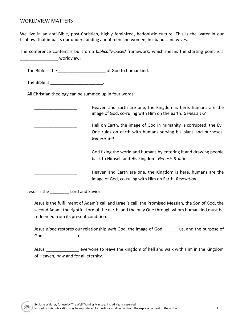## WORLDVIEW MATTERS

We live in an anti-Bible, post-Christian, highly feminized, hedonistic culture. This is the water in our fishbowl that impacts our understanding about men and women, husbands and wives.

The conference content is built on a *biblically-based* framework, which means the starting point is a \_\_\_\_\_\_\_\_\_\_\_\_\_\_\_\_ worldview:

The Bible is the \_\_\_\_\_\_\_\_\_\_\_\_\_\_\_\_\_\_\_\_ of God to humankind.

The Bible is \_\_\_\_\_\_\_\_\_\_\_\_\_\_\_\_\_\_\_\_\_\_.

All Christian theology can be summed up in four words:

| Heaven and Earth are one, the Kingdom is here, humans are the<br>image of God, co-ruling with Him on the earth. Genesis 1-2                         |
|-----------------------------------------------------------------------------------------------------------------------------------------------------|
| Hell on Earth, the image of God in humanity is corrupted, the Evil<br>One rules on earth with humans serving his plans and purposes.<br>Genesis 3-4 |
| God fixing the world and humans by entering it and drawing people<br>back to Himself and His Kingdom. Genesis 3-Jude                                |
| Heaven and Earth are one, the Kingdom is here, humans are the<br>image of God, co-ruling with Him on Earth. Revelation                              |

Jesus is the **Lord and Savior.** 

Jesus is the fulfillment of Adam's call and Israel's call, the Promised Messiah, the Son of God, the second Adam, the rightful Lord of the earth, and the only One through whom humankind must be redeemed from its present condition.

Jesus *alone* restores our relationship *with* God, the image of God \_\_\_\_\_\_ us, and the purpose of God \_\_\_\_\_\_\_\_\_\_\_\_\_\_\_\_\_\_\_ us.

Jesus **Example 20** everyone to leave the kingdom of hell and walk with Him in the Kingdom of Heaven, *now* and for all eternity.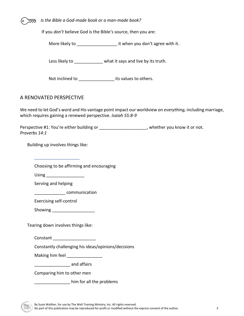*Is the Bible a God-made book or a man-made book?* 

If you *don't* believe God is the Bible's source, then you are:

More likely to **Exercise 20** it when you don't agree with it.

Less likely to **what it says and live by its truth.** 

Not inclined to **Note include to all its values to others.** 

## A RENOVATED PERSPECTIVE

We need to let God's word and His vantage point impact our worldview on *everything,* including marriage, which requires gaining a renewed perspective. *Isaiah 55:8-9*

Perspective #1: You're either building or \_\_\_\_\_\_\_\_\_\_\_\_\_\_\_\_\_\_\_\_, whether you know it or not. *Proverbs 14:1*

Building up involves things like:

\_\_\_\_\_\_\_\_\_\_\_\_\_\_\_\_\_\_\_

Choosing to be affirming and encouraging

 $Using$ 

Serving and helping

\_\_\_\_\_\_\_\_\_\_\_\_\_ communication

Exercising self-control

Showing \_\_\_\_\_\_\_\_\_\_\_\_\_\_\_\_\_\_

Tearing down involves things like:

Constant \_\_\_\_\_\_\_\_\_\_\_\_\_\_\_\_\_\_

Constantly challenging his ideas/opinions/decisions

Making him feel **Example 20** 

denticative and affairs

Comparing him to other men

\_\_\_\_\_\_\_\_\_\_\_\_\_\_\_ him for all the problems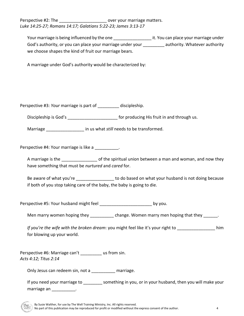Perspective #2: The **Example 20** over your marriage matters. *Luke 14:25-27; Romans 14:17; Galatians 5:22-23; James 3:13-17*

| Your marriage is being influenced by the one               | it. You can place your marriage under |
|------------------------------------------------------------|---------------------------------------|
| God's authority, or you can place your marriage under your | authority. Whatever authority         |
| we choose shapes the kind of fruit our marriage bears.     |                                       |

A marriage under God's authority would be characterized by:

Perspective #3: *Your* marriage is part of discipleship.

Discipleship is God's **Exercise 20** For producing His fruit in and through us.

Marriage **Marriage and** *Marriage* in us what *still* needs to be transformed.

Perspective #4: Your marriage is like a \_\_\_\_\_\_\_\_\_\_.

A marriage is the \_\_\_\_\_\_\_\_\_\_\_\_\_\_\_ of the spiritual union between a man and woman, and now they have something that must be *nurtured* and *cared* for.

Be aware of what you're **Example 20** to do based on what your husband is not doing because if both of you stop taking care of the baby, the baby is going to die.

Perspective #5: Your husband might feel \_\_\_\_\_\_\_\_\_\_\_\_\_\_\_\_\_\_\_\_\_\_\_\_\_\_\_\_\_\_ by you.

Men marry women hoping they exactled thange. Women marry men hoping that they and the sum

*If you're the wife with the broken dream*: you might feel like it's your right to \_\_\_\_\_\_\_\_\_\_\_\_\_\_\_\_ him for blowing up your world.

Perspective #6: Marriage can't us from sin. *Acts 4:12; Titus 2:14*

Only Jesus can redeem sin, not a marriage.

If you need your marriage to something in you, or in your husband, then you will make your marriage an \_\_\_\_\_\_\_\_\_\_\_.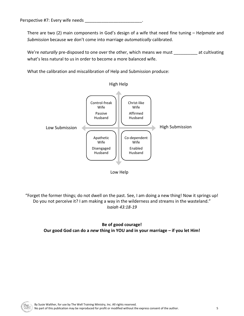Perspective #7: Every wife needs

There are two (2) main components in God's design of a wife that need fine tuning – H*elpmate* and *Submission* because we don't come into marriage *automatically* calibrated.

We're *naturally* pre-disposed to one over the other, which means we must \_\_\_\_\_\_\_\_\_ at cultivating what's less natural to us in order to become a more balanced wife.

What the calibration and miscalibration of Help and Submission produce:



"Forget the former things; do not dwell on the past. See, I am doing a new thing! Now it springs up! Do you not perceive it? I am making a way in the wilderness and streams in the wasteland." *Isaiah 43:18-19*

## **Be of good courage! Our good God can do a** *new* **thing in YOU and in your marriage – if you let Him!**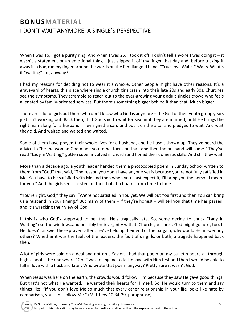# **BONUSMATERIAL** I DON'T WAIT ANYMORE: A SINGLE'S PERSPECTIVE

When I was 16, I got a purity ring. And when I was 25, I took it off. I didn't tell anyone I was doing it – it wasn't a statement or an emotional thing. I just slipped it off my finger that day and, before tucking it away in a box, ran my finger around the words on the familiar gold band. "True Love Waits." Waits. What's it "waiting" for, anyway?

I had my reasons for deciding not to wear it anymore. Other people might have other reasons. It's a graveyard of hearts, this place where single church girls crash into their late 20s and early 30s. Churches see the symptoms. They scramble to reach out to the ever-growing young adult singles crowd who feels alienated by family-oriented services. But there's something bigger behind it than that. Much bigger.

There are a lot of girls out there who don't know who God is anymore – the God of their youth group years just isn't working out. Back then, that God said to wait for sex until they are married, until He brings the right man along for a husband. They signed a card and put it on the altar and pledged to wait. And wait they did. And waited and waited and waited.

Some of them have prayed their whole lives for a husband, and he hasn't shown up. They've heard the advice to "be the woman God made you to be, focus on that, and then the husband will come." They've read "Lady in Waiting," gotten super involved in church and honed their domestic skills. And still they wait.

More than a decade ago, a youth leader handed them a photocopied poem in Sunday School written to them from "God" that said, "The reason you don't have anyone yet is because you're not fully satisfied in Me. You have to be satisfied with Me and then when you least expect it, I'll bring you the person I meant for you." And the girls see it posted on their bulletin boards from time to time.

"You're right, God," they say. "We're not satisfied in You yet. We will put You first and then You can bring us a husband in Your timing." But many of them – if they're honest – will tell you that time has passed, and it's wrecking their view of God.

If this is who God's supposed to be, then He's tragically late. So, some decide to chuck "Lady in Waiting" out the window…and possibly their virginity with it. Church goes next. God might go next, too. If He doesn't answer these prayers after they've held up their end of the bargain, why would He answer any others? Whether it was the fault of the leaders, the fault of us girls, or both, a tragedy happened back then.

A lot of girls were sold on a deal and not on a Savior. I had that poem on my bulletin board all through high school – the one where "God" was telling me to fall in love with Him first and then I would be able to fall in love with a husband later. Who wrote that poem anyway? Pretty sure it wasn't God.

When Jesus was here on the earth, the crowds would follow Him because they saw He gave good things. But that's not what He wanted. He wanted their hearts for Himself. So, He would turn to them and say things like, "If you don't love Me so much that every other relationship in your life looks like hate by comparison, you can't follow Me." (Matthew 10:34-39, paraphrase)

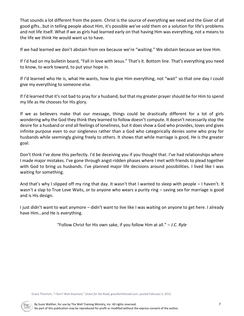That sounds a lot different from the poem. Christ is the source of everything we need and the Giver of all good gifts…but in telling people about Him, it's possible we've sold them on a solution for life's problems and not life itself. What if we as girls had learned early on that having Him was everything, not a means to the life we think He would want us to have.

If we had learned we don't abstain from sex because we're "waiting." We abstain because we love Him.

If I'd had on my bulletin board, "Fall in love with Jesus." That's it. Bottom line. That's everything you need to know, to work toward, to put your hope in.

If I'd learned who He is, what He wants, how to give Him everything, not "wait" so that one day I could give my everything to someone else.

If I'd learned that it's not bad to pray for a husband, but that my greater prayer should be for Him to spend my life as He chooses for His glory.

If we as believers make that our message, things could be drastically different for a lot of girls wondering why the God they think they learned to follow doesn't compute. It doesn't necessarily stop the desire for a husband or end all feelings of loneliness, but it does show a God who provides, loves and gives infinite purpose even to our singleness rather than a God who categorically denies some who pray for husbands while seemingly giving freely to others. It shows that while marriage is good, He is the greater goal.

Don't think I've done this perfectly. I'd be deceiving you if you thought that. I've had relationships where I made major mistakes. I've gone through angst-ridden phases where I met with friends to plead together with God to bring us husbands. I've planned major life decisions around possibilities. I lived like I was waiting for something.

And that's why I slipped off my ring that day. It wasn't that I wanted to sleep with people – I haven't. It wasn't a slap to True Love Waits, or to anyone who wears a purity ring – saving sex for marriage is good and is His design.

I just didn't want to wait anymore – didn't want to live like I was waiting on anyone to get here. I already have Him…and He is everything.

"Follow Christ for His own sake, if you follow Him at all." *– J.C. Ryle*

Grace Thornton, "I Don't Wait Anymore," *Grace for the Road,* gracefortheroad.com, posted February 3, 2012.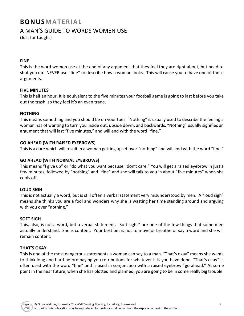# **BONUSMATERIAL**

# A MAN'S GUIDE TO WORDS WOMEN USE

(Just for Laughs)

### **FINE**

This is the word women use at the end of any argument that they feel they are right about, but need to shut you up. NEVER use "fine" to describe how a woman looks. This will cause you to have one of those arguments.

### **FIVE MINUTES**

This is half an hour. It is equivalent to the five minutes your football game is going to last before you take out the trash, so they feel it's an even trade.

### **NOTHING**

This means something and you should be on your toes. "Nothing" is usually used to describe the feeling a woman has of wanting to turn you inside out, upside down, and backwards. "Nothing" usually signifies an argument that will last "five minutes," and will end with the word "fine."

## **GO AHEAD (WITH RAISED EYEBROWS)**

This is a dare which will result in a woman getting upset over "nothing" and will end with the word "fine."

## **GO AHEAD (WITH NORMAL EYEBROWS)**

This means "I give up" or "do what you want because I don't care." You will get a raised eyebrow in just a few minutes, followed by "nothing" and "fine" and she will talk to you in about "five minutes" when she cools off.

## **LOUD SIGH**

This is not actually a word, but is still often a verbal statement very misunderstood by men. A "loud sigh" means she thinks you are a fool and wonders why she is wasting her time standing around and arguing with you over "nothing."

### **SOFT SIGH**

This, also, is not a word, but a verbal statement. "Soft sighs" are one of the few things that some men actually understand. She is content. Your best bet is not to move or breathe or say a word and she will remain content.

### **THAT'S OKAY**

This is one of the most dangerous statements a woman can say to a man. "That's okay" means she wants to think long and hard before paying you retributions for whatever it is you have done. "That's okay" is often used with the word "fine" and is used in conjunction with a raised eyebrow "go ahead." At some point in the near future, when she has plotted and planned, you are going to be in some really big trouble.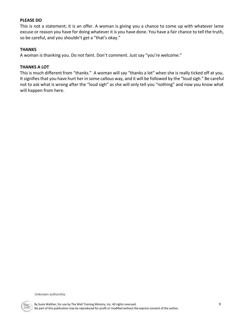### **PLEASE DO**

This is not a statement; it is an offer. A woman is giving you a chance to come up with whatever lame excuse or reason you have for doing whatever it is you have done. You have a fair chance to tell the truth, so be careful, and you shouldn't get a "that's okay."

### **THANKS**

A woman is thanking you. Do not faint. Don't comment. Just say "you're welcome."

### **THANKS A LOT**

This is much different from "thanks." A woman will say "thanks a lot" when she is really ticked off at you. It signifies that you have hurt her in some callous way, and it will be followed by the "loud sigh." Be careful not to ask what is wrong after the "loud sigh" as she will only tell you "nothing" and now you know what will happen from here.

Unknown authorship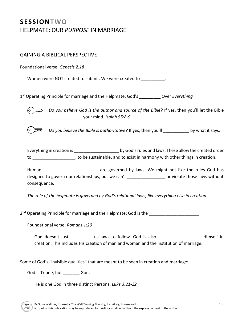# **SESSIONTWO** HELPMATE: OUR *PURPOSE* IN MARRIAGE

# GAINING A BIBLICAL PERSPECTIVE

Foundational verse: *Genesis 2:18*

Women were NOT created to submit. We were created to  $\qquad \qquad$ .

1 st Operating Principle for marriage and the Helpmate: God's \_\_\_\_\_\_\_\_\_ Over *Everything*



 *Do you believe God is the author and source of the Bible?* If yes, then you'll let the Bible \_\_\_\_\_\_\_\_\_\_\_\_\_\_ your mind. *Isaiah 55:8-9*

 *Do you believe the Bible is authoritative?* If yes, then you'll \_\_\_\_\_\_\_\_\_\_\_ by what it says.

Everything in creation is **Exerything** in creation is **Exerything** in created order to \_\_\_\_\_\_\_\_\_\_\_\_\_\_\_\_\_\_, to be sustainable, and to exist in harmony with other things in creation.

Human \_\_\_\_\_\_\_\_\_\_\_\_\_\_\_\_\_\_\_\_\_\_\_\_\_\_ are governed by laws. We might not like the rules God has designed to govern our relationships, but we can't \_\_\_\_\_\_\_\_\_\_\_\_\_\_\_\_\_\_\_ or violate those laws without consequence.

*The role of the helpmate is governed by God's relational laws, like everything else in creation.* 

2 nd Operating Principle for marriage and the Helpmate: God is the \_\_\_\_\_\_\_\_\_\_\_\_\_\_\_\_\_\_\_\_\_

Foundational verse: *Romans 1:20*

God doesn't just \_\_\_\_\_\_\_\_\_ us laws to follow. God is also \_\_\_\_\_\_\_\_\_\_\_\_\_\_\_\_\_\_\_\_\_\_ Himself in creation. This includes His creation of man and woman and the institution of marriage.

Some of God's "invisible qualities" that are meant to be seen in creation and marriage:

God is Triune, but God.

He is one God in three distinct Persons. *Luke 3:21-22*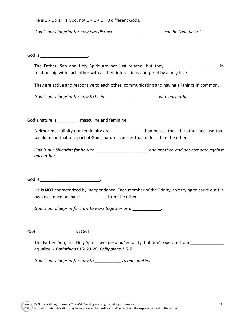He is  $1 \times 1 \times 1 = 1$  God, not  $1 + 1 + 1 = 3$  different Gods.

God is our blueprint for how two distinct **come and the set of the set of the set of the set of the set of the s** 

God is the contract of the contract of the contract of the contract of the contract of the contract of the contract of the contract of the contract of the contract of the contract of the contract of the contract of the con

The Father, Son and Holy Spirit are not just related, but they **thereogene in** in relationship with each other with all their interactions energized by a holy love.

They are active and responsive to each other, communicating and having all things in common.

*God is our blueprint for how to be in Degemen and the same with each other.* 

God's nature is **masculine and feminine.** 

Neither masculinity nor femininity are **than or less than the other because that** would mean that one part of God's nature is better than or less than the other.

*God is our blueprint for how to \_\_\_\_\_\_\_\_\_\_\_\_\_\_\_\_\_\_\_\_\_\_ one another, and not compete against each other.* 

God is the contract of the contract of the contract of the contract of the contract of the contract of the contract of the contract of the contract of the contract of the contract of the contract of the contract of the con

He is NOT characterized by independence. Each member of the Trinity isn't trying to carve out His own existence or space \_\_\_\_\_\_\_\_\_\_\_\_ from the other.

*God is our blueprint for how to work together as a*  $\blacksquare$ 

God to God.

The Father, Son, and Holy Spirit have *personal* equality, but don't operate from equality. *1 Corinthians 15: 23-28; Philippians 2:5-7*

*God is our blueprint for how to \_\_\_\_\_\_\_\_\_\_\_ to one another.*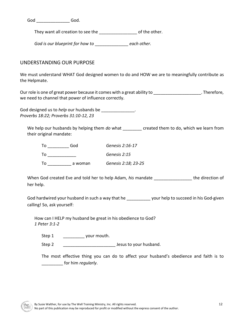God \_\_\_\_\_\_\_\_\_\_\_\_\_\_ God.

They want all creation to see the \_\_\_\_\_\_\_\_\_\_\_\_\_\_\_\_ of the other.

*God is our blueprint for how to* \_\_\_\_\_\_\_\_\_\_\_\_\_\_ *each other.* 

## UNDERSTANDING OUR PURPOSE

We must understand WHAT God designed women to do and HOW we are to meaningfully contribute as the Helpmate.

Our role is one of great power because it comes with a great ability to example is one of great power because it comes with a great ability to we need to channel that power of influence correctly.

God designed us to *help* our husbands be \_\_\_\_\_\_\_\_\_\_\_\_\_\_. *Proverbs 18:22; Proverbs 31:10-12, 23*

We help our husbands by helping them *do* what \_\_\_\_\_\_\_\_ created them to do, which we learn from their original mandate:

| Т٥ | God     | Genesis 2:16-17     |
|----|---------|---------------------|
| Т٥ |         | Genesis 2:15        |
| Т٥ | a woman | Genesis 2:18; 23-25 |

When God created Eve and told her to help Adam, *his* mandate \_\_\_\_\_\_\_\_\_\_\_\_\_\_\_\_ the direction of her help.

God hardwired your husband in such a way that he \_\_\_\_\_\_\_\_\_\_\_\_ your help to succeed in his God-given calling! So, ask yourself:

How can I HELP my husband be great in his obedience to God? *1 Peter 3:1-2*

Step 1 \_\_\_\_\_\_\_\_\_\_\_\_ your mouth.

Step 2 \_\_\_\_\_\_\_\_\_\_\_\_\_\_\_\_\_\_\_\_\_\_ Jesus to your husband.

The most effective thing you can do to affect your husband's obedience and faith is to \_\_\_\_\_\_\_\_\_ for him *regularly*.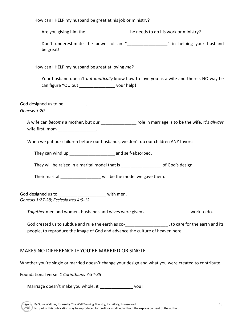How can I HELP my husband be great at his job or ministry?

Are you giving him the  $\qquad \qquad$  he needs to do his work or ministry?

Don't underestimate the power of an "\_\_\_\_\_\_\_\_\_\_\_\_\_\_\_\_ " in helping your husband be great!

How can I HELP my husband be great at loving *me?*

Your husband doesn't *automatically* know how to love you as a wife and there's NO way he can figure YOU out \_\_\_\_\_\_\_\_\_\_\_\_\_\_\_\_\_\_\_\_\_ your help!

God designed us to be \_\_\_\_\_\_\_\_\_.

*Genesis 3:20*

A wife can *become* a mother, but our \_\_\_\_\_\_\_\_\_\_\_\_\_\_\_ role in marriage is to be the wife. It's *always* wife first, mom  $\blacksquare$ 

When we put our children before our husbands, we don't do our children ANY favors:

They can wind up example and self-absorbed.

They will be raised in a marital model that is example the value of God's design.

Their marital \_\_\_\_\_\_\_\_\_\_\_\_\_\_\_\_\_\_\_\_\_ will be the model we gave them.

God designed us to \_\_\_\_\_\_\_\_\_\_\_\_\_\_\_\_\_\_\_\_\_\_\_\_\_ with men. *Genesis 1:27-28; Ecclesiastes 4:9-12*

*Together* men and women, husbands and wives were given a \_\_\_\_\_\_\_\_\_\_\_\_\_\_\_\_\_\_ work to do.

God created us to subdue and rule the earth as co-<br>q to care for the earth and its people, to reproduce the image of God and advance the culture of heaven here.

# MAKES NO DIFFERENCE IF YOU'RE MARRIED OR SINGLE

Whether you're single or married doesn't change your design and what you were created to contribute:

Foundational verse: *1 Corinthians 7:34-35*

Marriage doesn't make you whole, it vou!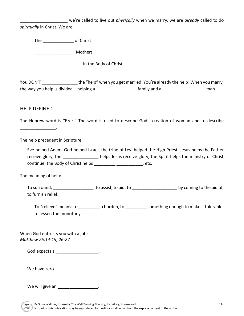\_\_\_\_\_\_\_\_\_\_\_\_\_\_\_\_\_\_\_\_ we're called to live out *physically* when we marry, we are *already* called to do *spiritually* in Christ. We are:

The **a** of Christ

\_\_\_\_\_\_\_\_\_\_\_\_\_\_\_\_\_ Mothers

external in the Body of Christ

You DON'T the "help" when you get married. You're already the help! When you marry, the way you help is divided – helping a  $\frac{1}{2}$  family and a  $\frac{1}{2}$  music man.

## HELP DEFINED

\_\_\_\_\_\_\_\_\_\_\_\_\_\_\_.

The Hebrew word is "Ezer." The word is used to describe God's creation of woman and to describe

The help precedent in Scripture:

Eve helped Adam, God helped Israel, the tribe of Levi helped the High Priest, Jesus helps the Father receive glory, the **the contract of the set of the set of the set of the ministry of Christ** receive glory, the Spirit helps the ministry of Christ continue, the Body of Christ helps \_\_\_\_\_\_\_\_\_\_\_\_\_\_\_\_\_\_\_\_\_\_\_, etc.

The meaning of help:

To surround, \_\_\_\_\_\_\_\_\_\_\_\_\_\_\_\_\_, to assist, to aid, to \_\_\_\_\_\_\_\_\_\_\_\_\_\_\_\_\_\_\_ by coming to the aid of, to furnish relief.

To "relieve" means: to \_\_\_\_\_\_\_\_\_ a burden, to \_\_\_\_\_\_\_\_\_ something enough to make it tolerable, to lessen the monotony.

When God entrusts you with a job: *Matthew 25:14-19, 26-27* 

God expects a \_\_\_\_\_\_\_\_\_\_\_\_\_\_\_\_\_\_.

We have zero \_\_\_\_\_\_\_\_\_\_\_\_\_\_\_\_\_\_\_\_.

We will give an \_\_\_\_\_\_\_\_\_\_\_\_\_\_\_\_\_\_.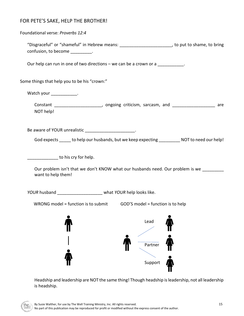# FOR PETE'S SAKE, HELP THE BROTHER!

| Foundational verse: Proverbs 12:4                                     |                                                                                                   |
|-----------------------------------------------------------------------|---------------------------------------------------------------------------------------------------|
| confusion, to become __________.                                      | "Disgraceful" or "shameful" in Hebrew means: _________________________, to put to shame, to bring |
| Our help can run in one of two directions – we can be a crown or a    |                                                                                                   |
| Some things that help you to be his "crown:"                          |                                                                                                   |
| Watch your ____________.                                              |                                                                                                   |
| NOT help!                                                             | Constant ________________________, ongoing criticism, sarcasm, and ___________________ are        |
| Be aware of YOUR unrealistic _______________________.                 | God expects _____ to help our husbands, but we keep expecting __________ NOT to need our help!    |
| to his cry for help.<br>want to help them!                            | Our problem isn't that we don't KNOW what our husbands need. Our problem is we ________           |
| YOUR husband ______________________ what YOUR help looks like.        |                                                                                                   |
| WRONG model = function is to submit GOD'S model = function is to help |                                                                                                   |
|                                                                       | Lead                                                                                              |
|                                                                       | Partner<br>Support                                                                                |

Headship and leadership are NOT the same thing! Though headship is leadership, not all leadership is headship.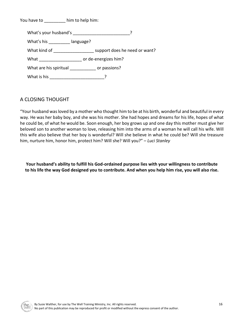You have to **him to help him:** 

What's your husband's \_\_\_\_\_\_\_\_\_\_\_\_\_\_\_\_\_\_\_\_\_\_\_\_\_\_\_\_\_? What's his **language?** What kind of **What kind of with the support does he need or want?** What \_\_\_\_\_\_\_\_\_\_\_\_\_\_\_\_\_\_ or de-energizes him? What are his spiritual \_\_\_\_\_\_\_\_\_\_\_\_\_ or passions? What is his \_\_\_\_\_\_\_\_\_\_\_\_\_\_\_\_\_\_\_\_\_\_\_\_\_\_\_\_\_\_\_?

# A CLOSING THOUGHT

"Your husband was loved by a mother who thought him to be at his birth, wonderful and beautiful in every way. He was her baby boy, and she was his mother. She had hopes and dreams for his life, hopes of what he could be, of what he would be. Soon enough, her boy grows up and one day this mother must give her beloved son to another woman to love, releasing him into the arms of a woman he will call his wife. Will this wife also believe that her boy is wonderful? Will she believe in what he could be? Will she treasure him, nurture him, honor him, protect him? Will she? Will you?" *– Luci Stanley*

**Your husband's ability to fulfill his God-ordained purpose lies with your willingness to contribute to his life the way God designed you to contribute. And when you help him rise, you will also rise.**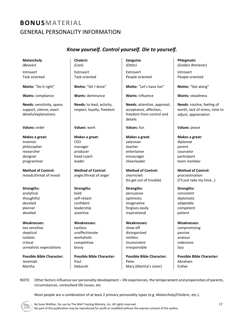# **BONUSMATERIAL** GENERAL PERSONALITY INFORMATION

# *Know yourself. Control yourself. Die to yourself.*

| <b>Melancholy</b><br>(Beaver)                                                                                  | <b>Choleric</b><br>(Lion)                                                                                | Sanguine<br>(Otter)                                                                                            | Phlegmatic<br>(Golden Retriever)                                                                             |
|----------------------------------------------------------------------------------------------------------------|----------------------------------------------------------------------------------------------------------|----------------------------------------------------------------------------------------------------------------|--------------------------------------------------------------------------------------------------------------|
| Introvert                                                                                                      | Extrovert                                                                                                | Extrovert                                                                                                      | Introvert                                                                                                    |
| <b>Task oriented</b>                                                                                           | Task oriented                                                                                            | People oriented                                                                                                | People oriented                                                                                              |
| Motto: "Do it right"                                                                                           | Motto: "Git r'done"                                                                                      | Motto: "Let's have fun"                                                                                        | Motto: "Get along"                                                                                           |
| Wants: compliance                                                                                              | <b>Wants: dominance</b>                                                                                  | <b>Wants: influence</b>                                                                                        | <b>Wants: steadiness</b>                                                                                     |
| Needs: sensitivity, space,<br>support, silence, exact<br>details/explanations                                  | Needs: to lead, activity,<br>respect, loyalty, freedom                                                   | Needs: attention, approval,<br>acceptance, affection,<br>freedom from control and<br>details                   | Needs: routine, feeling of<br>worth, lack of stress, time to<br>adjust, appreciation                         |
| Values: order                                                                                                  | Values: work                                                                                             | Values: fun                                                                                                    | Values: peace                                                                                                |
| Makes a great:<br>inventor<br>philosopher<br>researcher<br>designer<br>programmer<br><b>Method of Control:</b> | Makes a great:<br><b>CEO</b><br>manager<br>producer<br>head coach<br>leader<br><b>Method of Control:</b> | Makes a great:<br>salesman<br>teacher<br>entertainer<br>encourager<br>cheerleader<br><b>Method of Control:</b> | Makes a great:<br>diplomat<br>parent<br>counselor<br>participant<br>team member<br><b>Method of Control:</b> |
| moods/threat of mood                                                                                           | anger/threat of anger                                                                                    | charm/wit<br>(to get out of trouble)                                                                           | procrastination<br>(I'll just take my time)                                                                  |
| <b>Strengths:</b>                                                                                              | <b>Strengths:</b>                                                                                        | <b>Strengths:</b>                                                                                              | <b>Strengths:</b>                                                                                            |
| analytical                                                                                                     | bold                                                                                                     | persuasive                                                                                                     | consistent                                                                                                   |
| thoughtful                                                                                                     | self-reliant                                                                                             | optimistic                                                                                                     | diplomatic                                                                                                   |
| devoted                                                                                                        | confident                                                                                                | imaginative                                                                                                    | adaptable                                                                                                    |
| planner                                                                                                        | leadership                                                                                               | forgives easily                                                                                                | competent                                                                                                    |
| detailed                                                                                                       | assertive                                                                                                | inspirational                                                                                                  | patient                                                                                                      |
| <b>Weaknesses:</b><br>too sensitive                                                                            | <b>Weaknesses:</b><br>tactless                                                                           | <b>Weaknesses:</b><br>show off                                                                                 | <b>Weaknesses:</b><br>compromising                                                                           |
| skeptical                                                                                                      | unaffectionate                                                                                           | disorganized                                                                                                   | passive                                                                                                      |
| isolates                                                                                                       | workaholic                                                                                               | restless                                                                                                       | anxious                                                                                                      |
| critical                                                                                                       | competitive                                                                                              | inconsistent                                                                                                   | indecisive                                                                                                   |
| unrealistic expectations                                                                                       | bossy                                                                                                    | irresponsible                                                                                                  | lazy                                                                                                         |
| <b>Possible Bible Character:</b><br>Jeremiah<br>Martha                                                         | <b>Possible Bible Character:</b><br>Paul<br>Deborah                                                      | <b>Possible Bible Character:</b><br>Peter<br>Mary (Martha's sister)                                            | <b>Possible Bible Character:</b><br>Abraham<br>Esther                                                        |

NOTE: Other factors influence our personality development – life experiences, the temperament and propensities of parents, circumstances, unresolved life issues, etc.

Most people are a combination of at least 2 primary personality types (e.g. Melancholy/Choleric, etc.).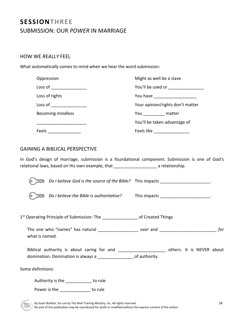# **SESSIONTHREE** SUBMISSION: OUR *POWER* IN MARRIAGE

## HOW WE *REALLY* FEEL

What *automatically* comes to mind when we hear the word submission:

| Oppression                 | Might as well be a slave             |
|----------------------------|--------------------------------------|
| $Loss of$ ______________   | You'll be used or __________________ |
| Loss of rights             | You have ____________________        |
| $Loss of$ ________________ | Your opinion/rights don't matter     |
| <b>Becoming mindless</b>   | You matter                           |
|                            | You'll be taken advantage of         |
| Feels                      | Feels like                           |

## GAINING A BIBLICAL PERSPECTIVE

In God's design of marriage, submission is a foundational component. Submission is one of God's relational laws, based on His own example, that \_\_\_\_\_\_\_\_\_\_\_\_\_\_\_\_\_\_\_\_\_\_\_\_\_ a relationship.

| Do I believe God is the source of the Bible? This impacts _____________________.                                                                                     |  |
|----------------------------------------------------------------------------------------------------------------------------------------------------------------------|--|
| Do I believe the Bible is authoritative? This impacts _____________________.<br>O                                                                                    |  |
| 1 <sup>st</sup> Operating Principle of Submission: The ___________________ of Created Things                                                                         |  |
| what is named.                                                                                                                                                       |  |
| Biblical authority is about caring for and _______________________ others. It is NEVER about<br>domination. Domination is always a ___________________ of authority. |  |
| Some definitions:                                                                                                                                                    |  |
| Authority is the _____________ to rule<br>Power is the to rule                                                                                                       |  |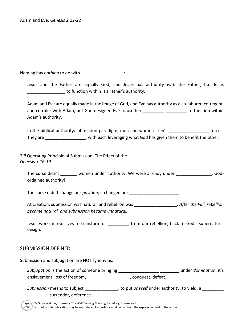Naming has *nothing* to do with \_\_\_\_\_\_\_\_\_\_\_\_\_\_\_\_\_\_\_\_\_:

Jesus and the Father are equally God, and Jesus has authority *with* the Father, but Jesus \_\_\_\_\_\_\_\_\_\_\_\_\_\_\_\_ to function within His Father's authority.

Adam and Eve are equally made in the image of God, and Eve has authority as a co-laborer, co-regent, and co-ruler with Adam, but God designed Eve to use her \_\_\_\_\_\_\_\_\_\_ \_\_\_\_\_\_\_\_\_\_ to function within Adam's authority.

In the biblical authority/submission paradigm, men and women aren't forces. They are \_\_\_\_\_\_\_\_\_\_\_\_\_\_\_\_, with each leveraging what God has given them to benefit the other.

2<sup>nd</sup> Operating Principle of Submission: The Effect of the \_\_\_\_\_\_\_\_\_\_\_\_\_\_\_\_\_\_\_\_\_ *Genesis 3:16-19*

The curse didn't women under authority. We were already under The curse didn't and  $\sim$  , Godordained authority!

The curse didn't change our *position*; it changed our **comparished as a contract of the contract of the contract of the contract of the contract of the contract of the contract of the contract of the contract of the contr** 

At creation, submission was natural, and rebellion was \_\_\_\_\_\_\_\_\_\_\_\_\_\_\_\_\_\_. *After the Fall, rebellion became natural, and submission became unnatural.* 

Jesus works in our lives to transform us \_\_\_\_\_\_\_\_\_ from our rebellion, back to God's supernatural design.

## SUBMISSION DEFINED

Submission and subjugation are NOT synonyms: *Subjugation* is the action of someone bringing **the ending of the solution** of someone bringing enslavement, loss of freedom, \_\_\_\_\_\_\_\_\_\_\_\_\_\_\_\_\_\_\_\_\_, conquest, defeat. Submission means to subject \_\_\_\_\_\_\_\_\_\_\_\_\_\_\_, to put *oneself* under authority, to yield, a \_\_\_\_\_\_\_\_\_

\_\_\_\_\_\_\_\_\_ surrender, deference.

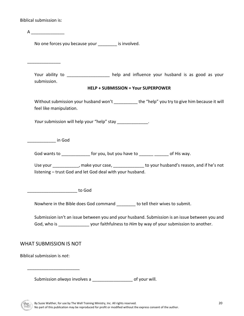Biblical submission is:

| A                                                         |                                                                                                                                                                                                      |
|-----------------------------------------------------------|------------------------------------------------------------------------------------------------------------------------------------------------------------------------------------------------------|
| No one forces you because your __________ is involved.    |                                                                                                                                                                                                      |
|                                                           |                                                                                                                                                                                                      |
| submission.                                               | Your ability to __________________ help and influence your husband is as good as your                                                                                                                |
|                                                           | <b>HELP + SUBMISSION = Your SUPERPOWER</b>                                                                                                                                                           |
| feel like manipulation.                                   | Without submission your husband won't __________ the "help" you try to give him because it will                                                                                                      |
| Your submission will help your "help" stay _____________. |                                                                                                                                                                                                      |
| <b>Example 1</b> in God                                   |                                                                                                                                                                                                      |
|                                                           | God wants to _______________ for you, but you have to _______ _______ of His way.                                                                                                                    |
| listening - trust God and let God deal with your husband. | Use your ____________, make your case, ______________ to your husband's reason, and if he's not                                                                                                      |
| ________________    to God                                |                                                                                                                                                                                                      |
|                                                           | Nowhere in the Bible does God command _______ to tell their wives to submit.                                                                                                                         |
|                                                           | Submission isn't an issue between you and your husband. Submission is an issue between you and<br>God, who is _______________________ your faithfulness to Him by way of your submission to another. |
| WHAT SUBMISSION IS NOT                                    |                                                                                                                                                                                                      |
| Biblical submission is not:                               |                                                                                                                                                                                                      |
|                                                           |                                                                                                                                                                                                      |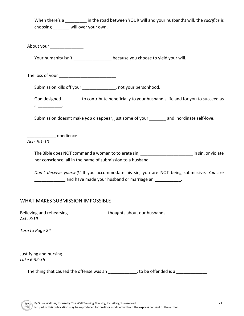When there's a **in the road between YOUR will and your husband's will, the** *sacrifice* **is** choosing \_\_\_\_\_\_\_ will over your own.

About your \_\_\_\_\_\_\_\_\_\_\_\_\_\_\_\_\_\_

Your humanity isn't \_\_\_\_\_\_\_\_\_\_\_\_\_\_\_\_\_\_ because you choose to yield your will.

The loss of your \_\_\_\_\_\_\_\_\_\_\_\_\_\_\_\_\_\_\_\_\_\_\_\_

Submission kills off your \_\_\_\_\_\_\_\_\_\_\_\_\_, not your personhood.

God designed \_\_\_\_\_\_\_\_ to contribute beneficially to your husband's life and for you to succeed as  $a$ 

Submission doesn't make *you* disappear, just some of your \_\_\_\_\_\_\_ and inordinate self-love.

\_\_\_\_\_\_\_\_\_\_\_\_ obedience

*Acts 5:1-10*

The Bible does NOT command a woman to tolerate sin, \_\_\_\_\_\_\_\_\_\_\_\_\_\_\_\_\_\_\_\_\_\_\_\_\_\_\_\_ in sin, or violate her conscience, all in the name of submission to a husband.

*Don't deceive yourself!* If you accommodate his sin, you are NOT being submissive. *You* are and have made your husband or marriage an  $\Box$ 

## WHAT MAKES SUBMISSION IMPOSSIBLE

Believing and rehearsing extending thoughts about our husbands *Acts 3:19*

*Turn to Page 24*

Justifying and nursing \_\_\_\_\_\_\_\_\_\_\_\_\_\_\_\_\_\_\_\_\_\_\_\_\_ *Luke 6:32-36* 

The thing that caused the offense was an  $\frac{1}{2}$  =  $\frac{1}{2}$ ; to be offended is a  $\frac{1}{2}$  =  $\frac{1}{2}$ .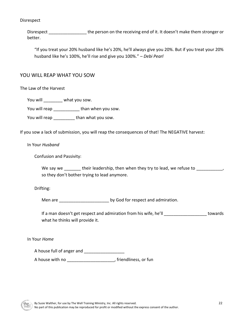### Disrespect

Disrespect \_\_\_\_\_\_\_\_\_\_\_\_\_\_\_\_\_\_\_\_\_\_ the person on the receiving end of it. It doesn't make them stronger or better.

"If you treat your 20% husband like he's 20%, he'll always give you 20%. But if you treat your 20% husband like he's 100%, he'll rise and give you 100%." *– Debi Pearl*

## YOU WILL REAP WHAT YOU SOW

The Law of the Harvest

You will **what you sow.** 

You will reap \_\_\_\_\_\_\_\_\_\_\_\_\_\_ than when you sow.

You will reap \_\_\_\_\_\_\_\_\_ than what you sow.

If you sow a lack of submission, you will reap the consequences of that! The NEGATIVE harvest:

In Your *Husband*

Confusion and Passivity:

We say we their leadership, then when they try to lead, we refuse to  $\sim$ so they don't bother trying to lead anymore.

Drifting:

Men are **Music and admiration** by God for respect and admiration.

If a man doesn't get respect and admiration from his wife, he'll letter than the towards what he thinks will provide it.

In Your *Home*

A house full of anger and \_\_\_\_\_\_\_\_\_\_\_\_\_\_\_\_\_

A house with no \_\_\_\_\_\_\_\_\_\_\_\_\_\_\_\_\_\_\_\_, friendliness, or fun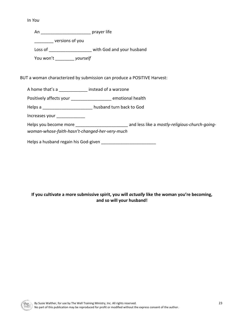In *You*

An \_\_\_\_\_\_\_\_\_\_\_\_\_\_\_\_\_\_\_\_\_ prayer life

\_\_\_\_\_\_\_\_ versions of you

Loss of \_\_\_\_\_\_\_\_\_\_\_\_\_\_\_\_\_\_\_\_\_\_ with God and your husband

You won't \_\_\_\_\_\_\_\_ *yourself*

## BUT a woman characterized by submission can produce a POSITIVE Harvest:

A home that's a \_\_\_\_\_\_\_\_\_\_\_\_ instead of a warzone

Positively affects your \_\_\_\_\_\_\_\_\_\_\_\_\_\_\_\_\_\_\_\_ emotional health

Helps a \_\_\_\_\_\_\_\_\_\_\_\_\_\_\_\_\_\_\_\_\_ husband turn back to God

Increases your \_\_\_\_\_\_\_\_\_\_\_\_

Helps you become more **the community-religious-church-going***woman-whose-faith-hasn't-changed-her-very-much*

Helps a husband regain his God-given

## **If you cultivate a more submissive spirit, you will** *actually* **like the woman you're becoming, and so will your husband!**

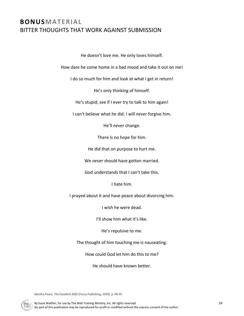# **BONUSMATERIAL** BITTER THOUGHTS THAT WORK AGAINST SUBMISSION

He doesn't love me. He only loves himself.

How dare he come home in a bad mood and take it out on me!

I do so much for him and look at what I get in return!

He's only thinking of himself.

He's stupid; see if I ever try to talk to him again!

I can't believe what he did. I will *never* forgive him.

He'll *never* change.

There is no hope for him.

He did that on purpose to hurt me.

We *never* should have gotten married.

God understands that I can't take this.

I hate him.

I prayed about it and have peace about divorcing him.

I wish he were dead.

I'll show him what it's like.

He's repulsive to me.

The thought of him touching me is nauseating.

How could God let him do this to me?

He should have known better.

Martha Peace, *The Excellent Wife* (Focus Publishing, 1999), p. 94-95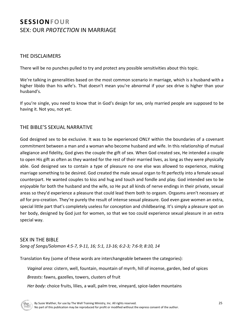# **SESSIONFOUR** SEX: OUR *PROTECTION* IN MARRIAGE

## THE DISCLAIMERS

There will be no punches pulled to try and protect any possible sensitivities about this topic.

We're talking in generalities based on the most common scenario in marriage, which is a husband with a higher libido than his wife's. That doesn't mean you're abnormal if your sex drive is higher than your husband's.

If you're single, you need to know that in God's design for sex, only married people are supposed to be having it. Not you, not yet.

## THE BIBLE'S SEXUAL NARRATIVE

God designed sex to be exclusive. It was to be experienced ONLY within the boundaries of a covenant commitment between a man and a woman who become husband and wife. In this relationship of mutual allegiance and fidelity, God gives the couple the gift of sex. When God created sex, He intended a couple to open His gift as often as they wanted for the rest of their married lives, as long as they were physically able. God designed sex to contain a type of pleasure no one else was allowed to experience, making marriage something to be desired. God created the male sexual organ to fit perfectly into a female sexual counterpart. He wanted couples to kiss and hug and touch and fondle and play. God intended sex to be enjoyable for both the husband and the wife, so He put all kinds of nerve endings in their private, sexual areas so they'd experience a pleasure that could lead them both to orgasm. Orgasms aren't necessary *at all* for pro-creation. They're purely the result of intense sexual pleasure. God even gave women an extra, special little part that's completely useless for conception and childbearing. It's simply a pleasure spot on her body, designed by God just for women, so that we too could experience sexual pleasure in an extra special way.

## SEX IN THE BIBLE

*Song of Songs/Solomon 4:5-7, 9-11, 16; 5:1, 13-16; 6:2-3; 7:6-9; 8:10, 14*

Translation Key (some of these words are interchangeable between the categories):

*Vaginal area:* cistern, well, fountain, mountain of myrrh, hill of incense, garden, bed of spices

*Breasts:* fawns, gazelles, towers, clusters of fruit

*Her body:* choice fruits, lilies, a wall, palm tree, vineyard, spice-laden mountains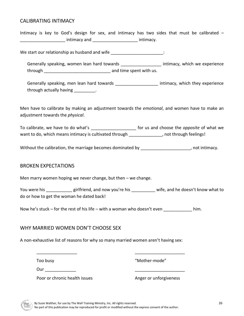## CALIBRATING INTIMACY

Intimacy is key to God's design for sex, and intimacy has two sides that must be calibrated – intimacy and the control of the intimacy.

We start our relationship as husband and wife \_\_\_\_\_\_\_\_\_\_\_\_\_\_\_\_\_\_\_\_\_\_:

Generally speaking, women lean hard towards **Example 20** intimacy, which we experience through through  $\blacksquare$  and time spent with us.

Generally speaking, men lean hard towards \_\_\_\_\_\_\_\_\_\_\_\_\_\_\_\_\_\_\_\_\_\_ intimacy, which they experience through actually having through actually

Men have to calibrate by making an adjustment towards the *emotional*, and women have to make an adjustment towards the *physical*.

To calibrate, we have to do what's \_\_\_\_\_\_\_\_\_\_\_\_\_\_\_\_\_\_\_ for us and choose the *opposite* of what we want to do, which means intimacy is cultivated through the same than the proof through feelings!

Without the calibration, the marriage becomes dominated by example the calibration of the marriage becomes dominated by

### BROKEN EXPECTATIONS

Men marry women hoping we never change, but then – we change.

You were his \_\_\_\_\_\_\_\_\_\_\_\_ girlfriend, and now you're his \_\_\_\_\_\_\_\_\_\_\_ wife, and he doesn't know what to do or how to get the woman he dated back!

Now he's stuck – for the rest of his life – with a woman who doesn't even  $\blacksquare$  him.

## WHY MARRIED WOMEN DON'T CHOOSE SEX

A non-exhaustive list of reasons for why so many married women aren't having sex:

Too busy

"Mother-mode"

Our \_\_\_\_\_\_\_\_\_\_\_\_\_

\_\_\_\_\_\_\_\_\_\_\_\_\_\_\_\_\_

Poor or chronic health issues

Anger or unforgiveness

\_\_\_\_\_\_\_\_\_\_\_\_\_\_\_\_\_\_\_\_\_

\_\_\_\_\_\_\_\_\_\_\_\_\_\_\_\_\_\_\_\_\_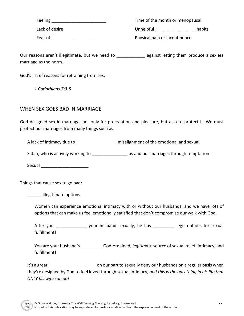Feeling **Executive Section** Lack of desire Fear of **Exercise 2** Time of the month or menopausal Unhelpful habits Physical pain or incontinence

Our reasons aren't illegitimate, but we need to entitled a sexiess against letting them produce a sexless marriage as the norm.

God's list of reasons for refraining from sex:

*1 Corinthians 7:3-5*

## WHEN SEX GOES BAD IN MARRIAGE

God designed sex in marriage, not only for procreation and pleasure, but also to protect it. We must protect our marriages from many things such as:

A lack of intimacy due to \_\_\_\_\_\_\_\_\_\_\_\_\_\_\_\_\_\_\_\_ misalignment of the emotional and sexual

Satan, who is actively working to **Exercise 2018** us and our marriages through temptation

Sexual \_\_\_\_\_\_\_\_\_\_\_\_\_\_\_\_\_\_\_\_

Things that cause sex to go bad:

\_\_\_\_\_\_ illegitimate options

Women can experience emotional intimacy with or without our husbands, and we have lots of options that can make us feel emotionally satisfied that don't compromise our walk with God.

After you \_\_\_\_\_\_\_\_\_\_\_\_\_\_\_ your husband sexually, he has \_\_\_\_\_\_\_\_\_\_\_ legit options for sexual fulfillment!

You are your husband's \_\_\_\_\_\_\_\_\_ God-ordained, *legitimate* source of sexual relief, intimacy, and fulfillment!

It's a great **the sexually deny our husbands on a regular basis when** they're designed by God to feel loved through sexual intimacy, *and this is the only thing in his life that ONLY his wife can do!*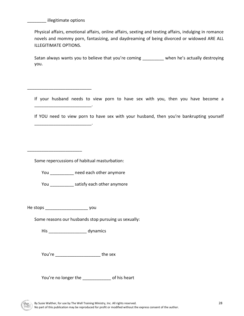illegitimate options

\_\_\_\_\_\_\_\_\_\_\_\_\_\_\_\_\_\_\_\_\_\_\_\_\_\_\_

\_\_\_\_\_\_\_\_\_\_\_\_\_\_\_\_\_\_\_\_\_\_\_\_.

\_\_\_\_\_\_\_\_\_\_\_\_\_\_\_\_\_\_\_\_\_\_\_

Physical affairs, emotional affairs, online affairs, sexting and texting affairs, indulging in romance novels and mommy porn, fantasizing, and daydreaming of being divorced or widowed ARE ALL ILLEGITIMATE OPTIONS.

Satan always wants you to believe that you're coming \_\_\_\_\_\_\_\_\_ when he's actually destroying you.

If your husband needs to view porn to have sex with you, then you have become a \_\_\_\_\_\_\_\_\_\_\_\_\_\_\_\_\_\_\_\_\_\_\_\_.

If YOU need to view porn to have sex with your husband, then you're bankrupting yourself

Some repercussions of habitual masturbation:

You \_\_\_\_\_\_\_\_\_\_\_\_ need each other anymore

You \_\_\_\_\_\_\_\_\_\_\_\_\_ satisfy each other anymore

He stops \_\_\_\_\_\_\_\_\_\_\_\_\_\_\_\_\_\_ you

Some reasons our husbands stop pursuing us sexually:

His **His** dynamics

You're **the sex** 

You're no longer the \_\_\_\_\_\_\_\_\_\_\_\_\_\_ of his heart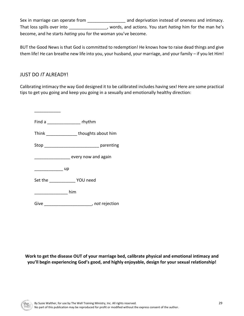Sex in marriage can operate from \_\_\_\_\_\_\_\_\_\_\_\_\_\_\_\_\_\_\_ and deprivation instead of oneness and intimacy. That loss spills over into \_\_\_\_\_\_\_\_\_\_\_\_\_\_\_\_, words, and actions. You start *hating* him for the man he's become, and he starts *hating* you for the woman you've become.

BUT the Good News is that God is committed to redemption! He knows how to raise dead things and give them life! He can breathe new life into you, your husband, your marriage, and your family – if you let Him!

# JUST DO *IT* ALREADY!

\_\_\_\_\_\_\_\_\_\_\_

Calibrating intimacy the way God designed it to be calibrated includes having sex! Here are some practical tips to get you going and keep you going in a sexually and emotionally healthy direction:

Find a \_\_\_\_\_\_\_\_\_\_\_\_\_\_\_\_\_\_\_\_\_\_ rhythm Think **Think Think h** thoughts about him Stop **being** parenting \_\_\_\_\_\_\_\_\_\_\_\_\_\_\_\_\_\_ every now and again \_\_\_\_\_\_\_\_\_\_\_\_ up Set the \_\_\_\_\_\_\_\_\_\_\_\_\_\_ YOU need \_\_\_\_\_\_\_\_\_\_\_\_\_\_ him Give \_\_\_\_\_\_\_\_\_\_\_\_\_\_\_\_\_\_\_\_, *not* rejection

**Work to get the disease OUT of your marriage bed, calibrate physical and emotional intimacy and you'll begin experiencing God's good, and highly enjoyable, design for your sexual relationship!**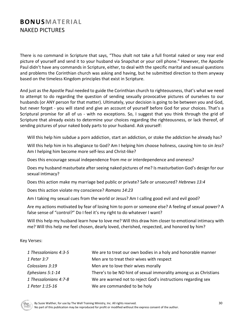# **BONUSMATERIAL** NAKED PICTURES

There is no command in Scripture that says, "Thou shalt not take a full frontal naked or sexy rear end picture of yourself and send it to your husband via Snapchat or your cell phone." However, the Apostle Paul didn't have any commands in Scripture, either, to deal with the specific marital and sexual questions and problems the Corinthian church was asking and having, but he submitted direction to them anyway based on the timeless Kingdom principles that exist in Scripture.

And just as the Apostle Paul needed to guide the Corinthian church to righteousness, that's what we need to attempt to do regarding the question of sending sexually provocative pictures of ourselves to our husbands (or ANY person for that matter). Ultimately, your decision is going to be between you and God, but never forget - you will stand and give an account of yourself before God for your choices. That's a Scriptural promise for all of us - with no exceptions. So, I suggest that you think through the grid of Scripture that already exists to determine your choices regarding the righteousness, or lack thereof, of sending pictures of your naked body parts to your husband. Ask yourself:

Will this help him subdue a porn addiction, start an addiction, or stoke the addiction he already has?

Will this help him in his allegiance to God? Am I helping him choose holiness, causing him to sin *less*? Am I helping him become more self-less and Christ-like?

Does this encourage sexual independence from me or interdependence and oneness?

Does my husband masturbate after seeing naked pictures of me? Is masturbation God's design for our sexual intimacy?

Does this action make my marriage bed public or private? Safe or unsecured? *Hebrews 13:4*

Does this action violate my conscience? *Romans 14:23*

Am I taking my sexual cues from the world or Jesus? Am I calling good evil and evil good?

Are my actions motivated by fear of losing him to porn or someone else? A feeling of sexual power? A false sense of "control?" Do I feel it's my right to do whatever I want?

Will this help my husband learn how to love me? Will this draw him closer to emotional intimacy with me? Will this help me feel chosen, dearly loved, cherished, respected, and honored by him?

### Key Verses:

| 1 Thessalonians 4:3-5 | We are to treat our own bodies in a holy and honorable manner     |
|-----------------------|-------------------------------------------------------------------|
| 1 Peter 3:7           | Men are to treat their wives with respect                         |
| Colossians 3:19       | Men are to love their wives morally                               |
| Ephesians 5:1-14      | There's to be NO hint of sexual immorality among us as Christians |
| 1 Thessalonians 4:7-8 | We are warned not to reject God's instructions regarding sex      |
| 1 Peter 1:15-16       | We are commanded to be holy                                       |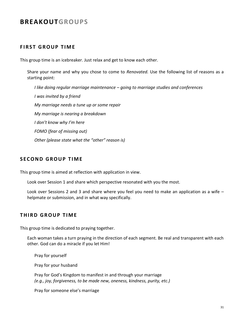# **BREAKOUTGROUPS**

# **FIRST GROUP TIME**

This group time is an icebreaker. Just relax and get to know each other.

Share your name and why you chose to come to *Renovated.* Use the following list of reasons as a starting point:

*I like doing regular marriage maintenance – going to marriage studies and conferences I was invited by a friend My marriage needs a tune up or some repair My marriage is nearing a breakdown I don't know why I'm here FOMO (fear of missing out) Other (please state what the "other" reason is)*

# **SECOND GROUP TIME**

This group time is aimed at reflection with application in view.

Look over Session 1 and share which perspective resonated with you the most.

Look over Sessions 2 and 3 and share where you feel you need to make an application as a wife – helpmate or submission, and in what way specifically.

## **THIRD GROUP TIME**

This group time is dedicated to praying together.

Each woman takes a turn praying in the direction of each segment. Be real and transparent with each other. God can do a miracle if you let Him!

Pray for yourself

Pray for your husband

Pray for God's Kingdom to manifest in and through your marriage *(e.g., joy, forgiveness, to be made new, oneness, kindness, purity, etc.)*

Pray for someone else's marriage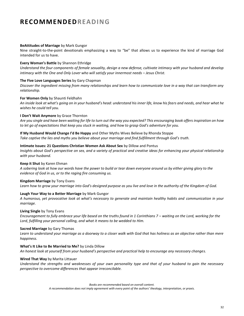# **RECOMMENDEDREADING**

#### **BeAttitudes of Marriage** by Mark Gungor

Nine straight-to-the-point devotionals emphasizing a way to "be" that allows us to experience the kind of marriage God intended for us to have.

#### **Every Woman's Battle** by Shannon Ethridge

*Understand the four components of female sexuality, design a new defense, cultivate intimacy with your husband and develop intimacy with the One and Only Lover who will satisfy your innermost needs – Jesus Christ.* 

#### **The Five Love Languages Series** by Gary Chapman

*Discover the ingredient missing from many relationships and learn how to communicate love in a way that can transform any relationship.*

### **For Women Only** by Shaunti Feldhahn

*An inside look at what's going on in your husband's head: understand his inner life, know his fears and needs, and hear what he wishes he could tell you.*

### **I Don't Wait Anymore** by Grace Thornton

*Are you single and have been waiting for life to turn out the way you expected? This encouraging book offers inspiration on how to let go of expectations that keep you stuck in waiting, and how to grasp God's adventure for you.*

#### **If My Husband Would Change I'd Be Happy** and Other Myths Wives Believe by Rhonda Stoppe

*Take captive the lies and myths you believe about your marriage and find fulfillment through God's truth.*

#### **Intimate Issues: 21 Questions Christian Women Ask About Sex** by Dillow and Pontus

*Insights about God's perspective on sex, and a variety of practical and creative ideas for enhancing your physical relationship with your husband.*

#### **Keep it Shut** by Karen Ehman

*A sobering look at how our words have the power to build or tear down everyone around us by either giving glory to the evidence of God in us, or to the raging fire consuming us.*

#### **Kingdom Marriage** by Tony Evans

*Learn how to grow your marriage into God's designed purpose as you live and love in the authority of the Kingdom of God.*

#### **Laugh Your Way to a Better Marriage** by Mark Gungor

*A humorous, yet provocative look at what's necessary to generate and maintain healthy habits and communication in your marriage.*

#### **Living Single** by Tony Evans

Encouragement to fully embrace your life based on the truths found in 1 Corinthians 7 – waiting on the Lord, working for the *Lord, fulfilling your personal calling, and what it means to be wedded to Him.* 

#### **Sacred Marriage** by Gary Thomas

*Learn to understand your marriage as a doorway to a closer walk with God that has holiness as an objective rather than mere happiness.*

#### **What's It Like to Be Married to Me?** by Linda Dillow

*An honest look at yourself from your husband's perspective and practical help to encourage any necessary changes.*

#### **Wired That Way** by Marita Littauer

*Understand the strengths and weaknesses of your own personality type and that of your husband to gain the necessary perspective to overcome differences that appear irreconcilable.*

*Books are recommended based on overall content.* 

*A recommendation does not imply agreement with every point of the authors' theology, interpretation, or praxis.*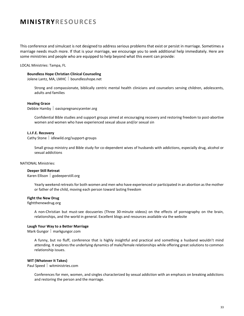# **MINISTRYRESOURCES**

This conference and simulcast is not designed to address serious problems that exist or persist in marriage. Sometimes a marriage needs much more. If that is your marriage, we encourage you to seek additional help immediately. Here are some ministries and people who are equipped to help beyond what this event can provide:

LOCAL Ministries: Tampa, FL

#### **Boundless Hope Christian Clinical Counseling**

Jolene Lantz, MA, LMHC | boundlesshope.net

Strong and compassionate, biblically centric mental health clinicians and counselors serving children, adolescents, adults and families

#### **Healing Grace**

Debbie Hamby  $\vert$  oasispregnancycenter.org

Confidential Bible studies and support groups aimed at encouraging recovery and restoring freedom to post-abortive women and women who have experienced sexual abuse and/or sexual sin

#### **L.I.F.E. Recovery**

Cathy Stone | idlewild.org/support-groups

Small group ministry and Bible study for co-dependent wives of husbands with addictions, especially drug, alcohol or sexual addictions

#### NATIONAL Ministries:

### **Deeper Still Retreat**

Karen Ellison | godeeperstill.org

Yearly weekend retreats for both women and men who have experienced or participated in an abortion as the mother or father of the child, moving each person toward lasting freedom

#### **Fight the New Drug**

fightthenewdrug.org

A non-Christian but must-see docuseries (Three 30-minute videos) on the effects of pornography on the brain, relationships, and the world in general. Excellent blogs and resources available via the website

#### **Laugh Your Way to a Better Marriage**

Mark Gungor | markgungor.com

A funny, but no fluff, conference that is highly insightful and practical and something a husband wouldn't mind attending. It explores the underlying dynamics of male/female relationships while offering great solutions to common relationship issues.

### **WIT (Whatever It Takes)**

Paul Speed | witministries.com

Conferences for men, women, and singles characterized by sexual addiction with an emphasis on breaking addictions and restoring the person and the marriage.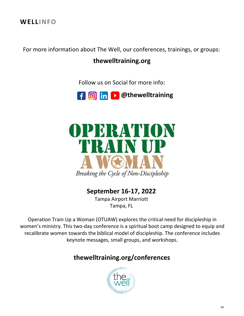**WELLINFO**

For more information about The Well, our conferences, trainings, or groups:

# **thewelltraining.org**

Follow us on Social for more info:





# **September 16-17, 2022**

Tampa Airport Marriott Tampa, FL

Operation Train Up a Woman (OTUAW) explores the critical need for discipleship in women's ministry. This two-day conference is a spiritual boot camp designed to equip and recalibrate women towards the biblical model of discipleship. The conference includes keynote messages, small groups, and workshops.

# **thewelltraining.org/conferences**